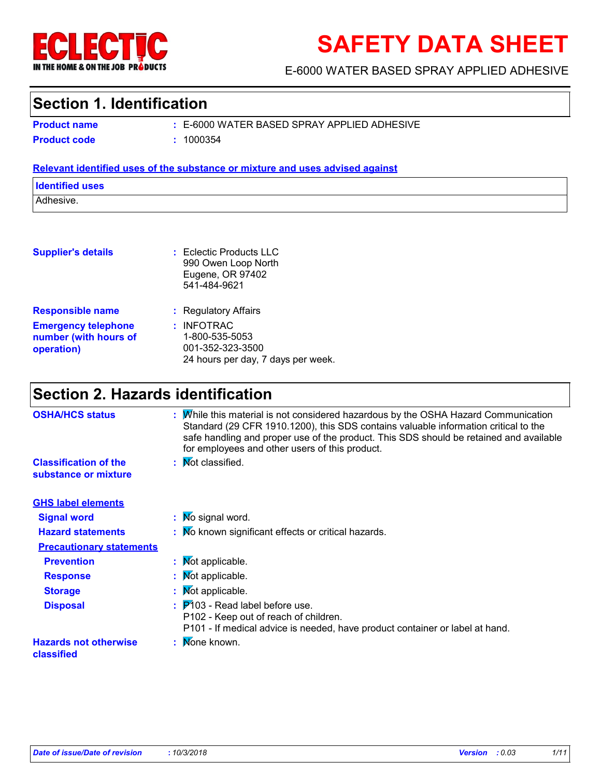

# **SAFETY DATA SHEET**

E-6000 WATER BASED SPRAY APPLIED ADHESIVE

## **Section 1. Identification**

E-6000 WATER BASED SPRAY APPLIED ADHESIVE **:**

**Product name Product code :** 1000354

### **Relevant identified uses of the substance or mixture and uses advised against**

| <b>Identified uses</b> |  |
|------------------------|--|
| Adhesive.              |  |

| <b>Supplier's details</b>                                         | $:$ Eclectic Products LLC<br>990 Owen Loop North<br>Eugene, OR 97402<br>541-484-9621     |
|-------------------------------------------------------------------|------------------------------------------------------------------------------------------|
| <b>Responsible name</b>                                           | : Regulatory Affairs                                                                     |
| <b>Emergency telephone</b><br>number (with hours of<br>operation) | $:$ INFOTRAC<br>1-800-535-5053<br>001-352-323-3500<br>24 hours per day, 7 days per week. |

# **Section 2. Hazards identification**

| <b>OSHA/HCS status</b>                               | While this material is not considered hazardous by the OSHA Hazard Communication<br>Standard (29 CFR 1910.1200), this SDS contains valuable information critical to the<br>safe handling and proper use of the product. This SDS should be retained and available<br>for employees and other users of this product. |
|------------------------------------------------------|---------------------------------------------------------------------------------------------------------------------------------------------------------------------------------------------------------------------------------------------------------------------------------------------------------------------|
| <b>Classification of the</b><br>substance or mixture | : Mot classified.                                                                                                                                                                                                                                                                                                   |
| <b>GHS label elements</b>                            |                                                                                                                                                                                                                                                                                                                     |
| <b>Signal word</b>                                   | : Mo signal word.                                                                                                                                                                                                                                                                                                   |
| <b>Hazard statements</b>                             | : No known significant effects or critical hazards.                                                                                                                                                                                                                                                                 |
| <b>Precautionary statements</b>                      |                                                                                                                                                                                                                                                                                                                     |
| <b>Prevention</b>                                    | : Mot applicable.                                                                                                                                                                                                                                                                                                   |
| <b>Response</b>                                      | : Mot applicable.                                                                                                                                                                                                                                                                                                   |
| <b>Storage</b>                                       | : Mot applicable.                                                                                                                                                                                                                                                                                                   |
| <b>Disposal</b>                                      | $\frac{1}{2}$ $\mathsf{P}'$ 103 - Read label before use.<br>P102 - Keep out of reach of children.<br>P101 - If medical advice is needed, have product container or label at hand.                                                                                                                                   |
| <b>Hazards not otherwise</b><br>classified           | Mone known.                                                                                                                                                                                                                                                                                                         |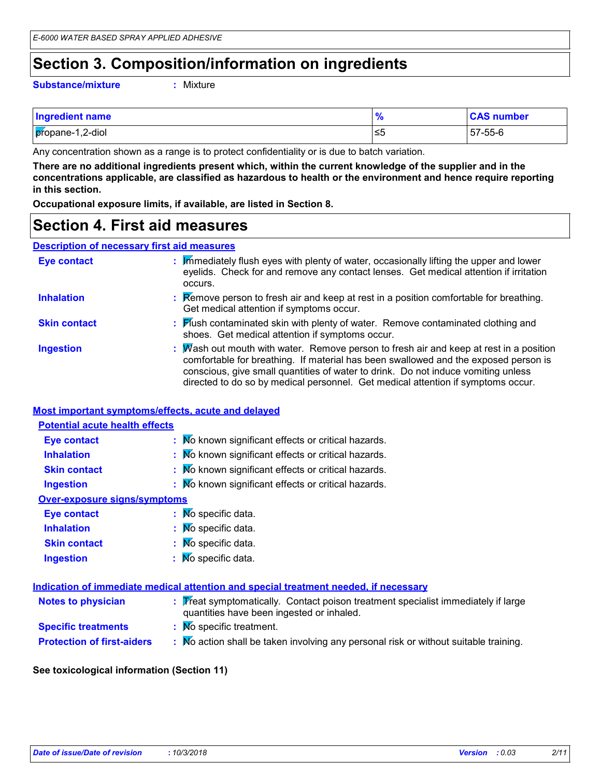# **Section 3. Composition/information on ingredients**

**Substance/mixture :**

Mixture

| <b>Ingredient name</b> |     | <b>CAS number</b> |
|------------------------|-----|-------------------|
| propane-1,2-diol       | l≤5 | 57-55-6           |

Any concentration shown as a range is to protect confidentiality or is due to batch variation.

**There are no additional ingredients present which, within the current knowledge of the supplier and in the concentrations applicable, are classified as hazardous to health or the environment and hence require reporting in this section.**

**Occupational exposure limits, if available, are listed in Section 8.**

## **Section 4. First aid measures**

### **Description of necessary first aid measures**

| <b>Eye contact</b>  | Immediately flush eyes with plenty of water, occasionally lifting the upper and lower<br>eyelids. Check for and remove any contact lenses. Get medical attention if irritation<br>occurs.                                                                                                                                                            |
|---------------------|------------------------------------------------------------------------------------------------------------------------------------------------------------------------------------------------------------------------------------------------------------------------------------------------------------------------------------------------------|
| <b>Inhalation</b>   | <b>Remove person to fresh air and keep at rest in a position comfortable for breathing.</b><br>Get medical attention if symptoms occur.                                                                                                                                                                                                              |
| <b>Skin contact</b> | : Flush contaminated skin with plenty of water. Remove contaminated clothing and<br>shoes. Get medical attention if symptoms occur.                                                                                                                                                                                                                  |
| <b>Ingestion</b>    | Wash out mouth with water. Remove person to fresh air and keep at rest in a position<br>comfortable for breathing. If material has been swallowed and the exposed person is<br>conscious, give small quantities of water to drink. Do not induce vomiting unless<br>directed to do so by medical personnel. Get medical attention if symptoms occur. |

### **Most important symptoms/effects, acute and delayed**

### **Inhalation :** No known significant effects or critical hazards. **Ingestion :** No known significant effects or critical hazards. **Skin contact :** No known significant effects or critical hazards. **Eye contact :** No known significant effects or critical hazards. **Over-exposure signs/symptoms Skin contact Ingestion Inhalation :** Mo specific data. No specific data. **:** No specific data. **: Eye contact :** No specific data. **Potential acute health effects**

|                                   | Indication of immediate medical attention and special treatment needed, if necessary                                           |
|-----------------------------------|--------------------------------------------------------------------------------------------------------------------------------|
| <b>Notes to physician</b>         | : Treat symptomatically. Contact poison treatment specialist immediately if large<br>quantities have been ingested or inhaled. |
| <b>Specific treatments</b>        | : Mo specific treatment.                                                                                                       |
| <b>Protection of first-aiders</b> | : Mo action shall be taken involving any personal risk or without suitable training.                                           |

### **See toxicological information (Section 11)**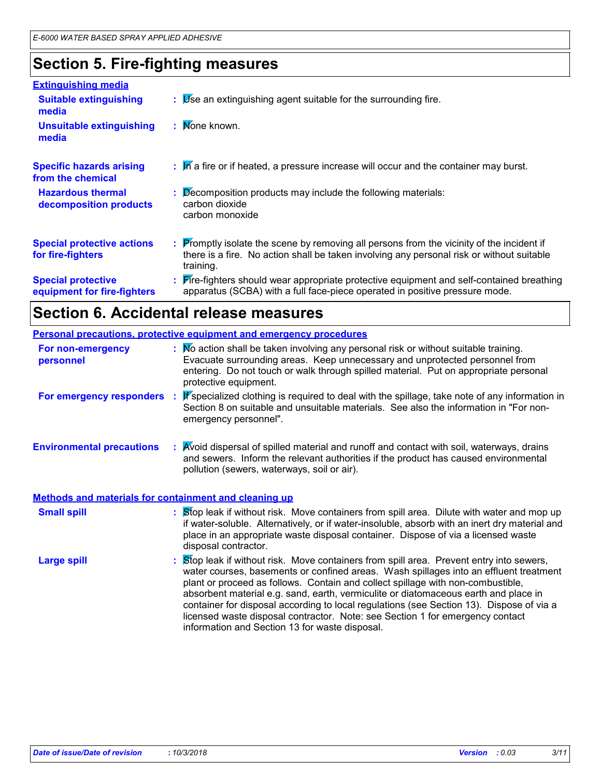# **Section 5. Fire-fighting measures**

| <b>Extinguishing media</b>                               |                                                                                                                                                                                                     |
|----------------------------------------------------------|-----------------------------------------------------------------------------------------------------------------------------------------------------------------------------------------------------|
| <b>Suitable extinguishing</b><br>media                   | $\mathbf{B}$ $\mathbf{B}$ Se an extinguishing agent suitable for the surrounding fire.                                                                                                              |
| <b>Unsuitable extinguishing</b><br>media                 | : Mone known.                                                                                                                                                                                       |
| <b>Specific hazards arising</b><br>from the chemical     | : In a fire or if heated, a pressure increase will occur and the container may burst.                                                                                                               |
| <b>Hazardous thermal</b><br>decomposition products       | $\therefore$ Decomposition products may include the following materials:<br>carbon dioxide<br>carbon monoxide                                                                                       |
| <b>Special protective actions</b><br>for fire-fighters   | : Promptly isolate the scene by removing all persons from the vicinity of the incident if<br>there is a fire. No action shall be taken involving any personal risk or without suitable<br>training. |
| <b>Special protective</b><br>equipment for fire-fighters | : Fire-fighters should wear appropriate protective equipment and self-contained breathing<br>apparatus (SCBA) with a full face-piece operated in positive pressure mode.                            |

# **Section 6. Accidental release measures**

|                                                              | <b>Personal precautions, protective equipment and emergency procedures</b>                                                                                                                                                                                                                                                                                                                                                                                                                                                                                                               |
|--------------------------------------------------------------|------------------------------------------------------------------------------------------------------------------------------------------------------------------------------------------------------------------------------------------------------------------------------------------------------------------------------------------------------------------------------------------------------------------------------------------------------------------------------------------------------------------------------------------------------------------------------------------|
| For non-emergency<br>personnel                               | : Mo action shall be taken involving any personal risk or without suitable training.<br>Evacuate surrounding areas. Keep unnecessary and unprotected personnel from<br>entering. Do not touch or walk through spilled material. Put on appropriate personal<br>protective equipment.                                                                                                                                                                                                                                                                                                     |
| For emergency responders                                     | If specialized clothing is required to deal with the spillage, take note of any information in<br>Section 8 on suitable and unsuitable materials. See also the information in "For non-<br>emergency personnel".                                                                                                                                                                                                                                                                                                                                                                         |
| <b>Environmental precautions</b>                             | Avoid dispersal of spilled material and runoff and contact with soil, waterways, drains<br>and sewers. Inform the relevant authorities if the product has caused environmental<br>pollution (sewers, waterways, soil or air).                                                                                                                                                                                                                                                                                                                                                            |
| <b>Methods and materials for containment and cleaning up</b> |                                                                                                                                                                                                                                                                                                                                                                                                                                                                                                                                                                                          |
| <b>Small spill</b>                                           | Stop leak if without risk. Move containers from spill area. Dilute with water and mop up<br>if water-soluble. Alternatively, or if water-insoluble, absorb with an inert dry material and<br>place in an appropriate waste disposal container. Dispose of via a licensed waste<br>disposal contractor.                                                                                                                                                                                                                                                                                   |
| <b>Large spill</b>                                           | Stop leak if without risk. Move containers from spill area. Prevent entry into sewers,<br>water courses, basements or confined areas. Wash spillages into an effluent treatment<br>plant or proceed as follows. Contain and collect spillage with non-combustible,<br>absorbent material e.g. sand, earth, vermiculite or diatomaceous earth and place in<br>container for disposal according to local regulations (see Section 13). Dispose of via a<br>licensed waste disposal contractor. Note: see Section 1 for emergency contact<br>information and Section 13 for waste disposal. |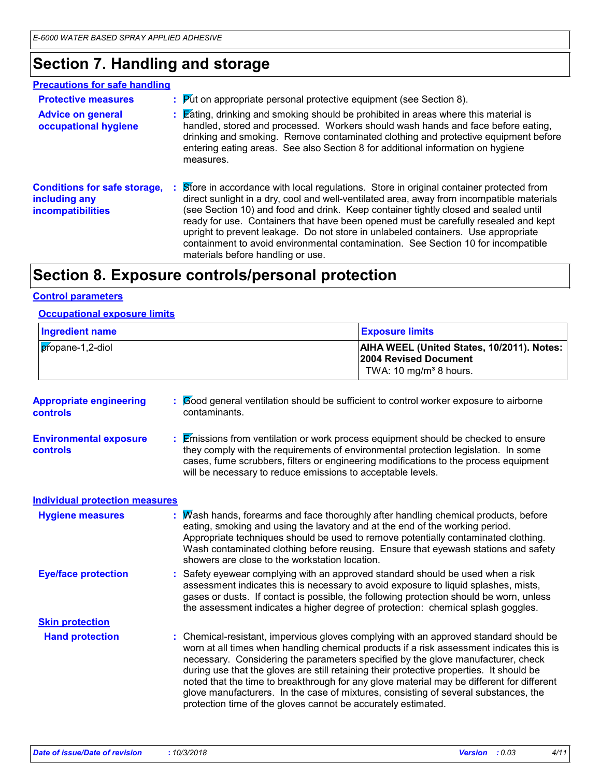# **Section 7. Handling and storage**

### **Precautions for safe handling**

| <b>Protective measures</b><br><b>Advice on general</b><br>occupational hygiene   | $\therefore$ Put on appropriate personal protective equipment (see Section 8).<br><b>Eating, drinking and smoking should be prohibited in areas where this material is</b><br>handled, stored and processed. Workers should wash hands and face before eating,<br>drinking and smoking. Remove contaminated clothing and protective equipment before<br>entering eating areas. See also Section 8 for additional information on hygiene<br>measures.                                                                                                                             |
|----------------------------------------------------------------------------------|----------------------------------------------------------------------------------------------------------------------------------------------------------------------------------------------------------------------------------------------------------------------------------------------------------------------------------------------------------------------------------------------------------------------------------------------------------------------------------------------------------------------------------------------------------------------------------|
| <b>Conditions for safe storage,</b><br>including any<br><b>incompatibilities</b> | Store in accordance with local regulations. Store in original container protected from<br>direct sunlight in a dry, cool and well-ventilated area, away from incompatible materials<br>(see Section 10) and food and drink. Keep container tightly closed and sealed until<br>ready for use. Containers that have been opened must be carefully resealed and kept<br>upright to prevent leakage. Do not store in unlabeled containers. Use appropriate<br>containment to avoid environmental contamination. See Section 10 for incompatible<br>materials before handling or use. |

# **Section 8. Exposure controls/personal protection**

### **Control parameters**

### **Occupational exposure limits**

| <b>Exposure limits</b>                                                                                                  |
|-------------------------------------------------------------------------------------------------------------------------|
| <b>AIHA WEEL (United States, 10/2011). Notes:</b><br><b>2004 Revised Document</b><br>TWA: 10 mg/m <sup>3</sup> 8 hours. |
|                                                                                                                         |

| <b>Appropriate engineering</b><br><b>controls</b> | Cood general ventilation should be sufficient to control worker exposure to airborne<br>contaminants.                                                                                                                                                                                                                                                                                                                                                                                                                                                                                                                  |
|---------------------------------------------------|------------------------------------------------------------------------------------------------------------------------------------------------------------------------------------------------------------------------------------------------------------------------------------------------------------------------------------------------------------------------------------------------------------------------------------------------------------------------------------------------------------------------------------------------------------------------------------------------------------------------|
| <b>Environmental exposure</b><br>controls         | : Emissions from ventilation or work process equipment should be checked to ensure<br>they comply with the requirements of environmental protection legislation. In some<br>cases, fume scrubbers, filters or engineering modifications to the process equipment<br>will be necessary to reduce emissions to acceptable levels.                                                                                                                                                                                                                                                                                        |
| <b>Individual protection measures</b>             |                                                                                                                                                                                                                                                                                                                                                                                                                                                                                                                                                                                                                        |
| <b>Hygiene measures</b>                           | Wash hands, forearms and face thoroughly after handling chemical products, before<br>eating, smoking and using the lavatory and at the end of the working period.<br>Appropriate techniques should be used to remove potentially contaminated clothing.<br>Wash contaminated clothing before reusing. Ensure that eyewash stations and safety<br>showers are close to the workstation location.                                                                                                                                                                                                                        |
| <b>Eye/face protection</b>                        | : Safety eyewear complying with an approved standard should be used when a risk<br>assessment indicates this is necessary to avoid exposure to liquid splashes, mists,<br>gases or dusts. If contact is possible, the following protection should be worn, unless<br>the assessment indicates a higher degree of protection: chemical splash goggles.                                                                                                                                                                                                                                                                  |
| <b>Skin protection</b>                            |                                                                                                                                                                                                                                                                                                                                                                                                                                                                                                                                                                                                                        |
| <b>Hand protection</b>                            | : Chemical-resistant, impervious gloves complying with an approved standard should be<br>worn at all times when handling chemical products if a risk assessment indicates this is<br>necessary. Considering the parameters specified by the glove manufacturer, check<br>during use that the gloves are still retaining their protective properties. It should be<br>noted that the time to breakthrough for any glove material may be different for different<br>glove manufacturers. In the case of mixtures, consisting of several substances, the<br>protection time of the gloves cannot be accurately estimated. |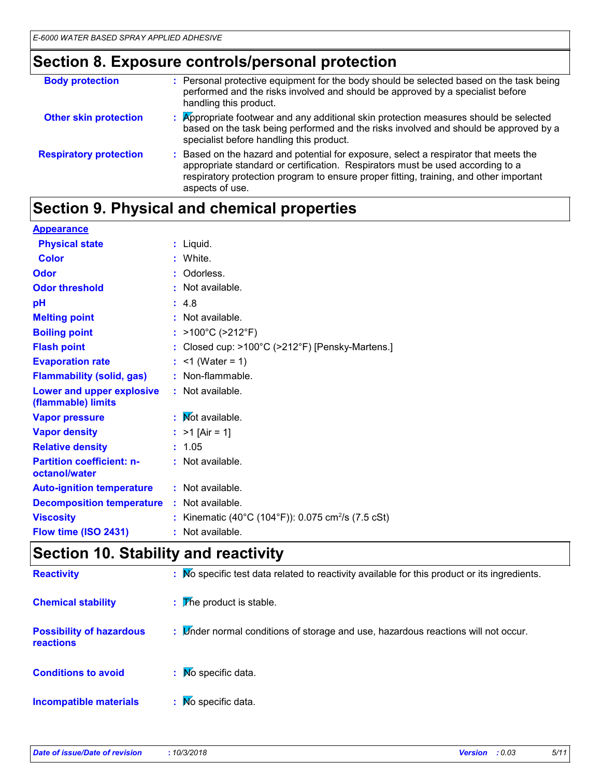# **Section 8. Exposure controls/personal protection**

| <b>Body protection</b>        | : Personal protective equipment for the body should be selected based on the task being<br>performed and the risks involved and should be approved by a specialist before<br>handling this product.                                                                                 |
|-------------------------------|-------------------------------------------------------------------------------------------------------------------------------------------------------------------------------------------------------------------------------------------------------------------------------------|
| <b>Other skin protection</b>  | : Appropriate footwear and any additional skin protection measures should be selected<br>based on the task being performed and the risks involved and should be approved by a<br>specialist before handling this product.                                                           |
| <b>Respiratory protection</b> | : Based on the hazard and potential for exposure, select a respirator that meets the<br>appropriate standard or certification. Respirators must be used according to a<br>respiratory protection program to ensure proper fitting, training, and other important<br>aspects of use. |

# **Section 9. Physical and chemical properties**

| <b>Appearance</b>                                 |                                                                |
|---------------------------------------------------|----------------------------------------------------------------|
| <b>Physical state</b>                             | $:$ Liquid.                                                    |
| <b>Color</b>                                      | : White.                                                       |
| Odor                                              | : Odorless.                                                    |
| <b>Odor threshold</b>                             | : Not available.                                               |
| pH                                                | : 4.8                                                          |
| <b>Melting point</b>                              | : Not available.                                               |
| <b>Boiling point</b>                              | : $>100^{\circ}$ C ( $>212^{\circ}$ F)                         |
| <b>Flash point</b>                                | : Closed cup: >100°C (>212°F) [Pensky-Martens.]                |
| <b>Evaporation rate</b>                           | : $<$ 1 (Water = 1)                                            |
| <b>Flammability (solid, gas)</b>                  | : Non-flammable.                                               |
| Lower and upper explosive<br>(flammable) limits   | : Not available.                                               |
| <b>Vapor pressure</b>                             | : Mot available.                                               |
| <b>Vapor density</b>                              | : $>1$ [Air = 1]                                               |
| <b>Relative density</b>                           | : 1.05                                                         |
| <b>Partition coefficient: n-</b><br>octanol/water | : Not available.                                               |
| <b>Auto-ignition temperature</b>                  | : Not available.                                               |
| <b>Decomposition temperature</b>                  | : Not available.                                               |
| <b>Viscosity</b>                                  | : Kinematic (40°C (104°F)): 0.075 cm <sup>2</sup> /s (7.5 cSt) |
| Flow time (ISO 2431)                              | : Not available.                                               |

## **Section 10. Stability and reactivity**

| <b>Reactivity</b>                                   | : Mo specific test data related to reactivity available for this product or its ingredients. |
|-----------------------------------------------------|----------------------------------------------------------------------------------------------|
| <b>Chemical stability</b>                           | $\mathbf{F}$ The product is stable.                                                          |
| <b>Possibility of hazardous</b><br><b>reactions</b> | : Linder normal conditions of storage and use, hazardous reactions will not occur.           |
| <b>Conditions to avoid</b>                          | : Mo specific data.                                                                          |
| <b>Incompatible materials</b>                       | $\mathbf{N}$ Mo specific data.                                                               |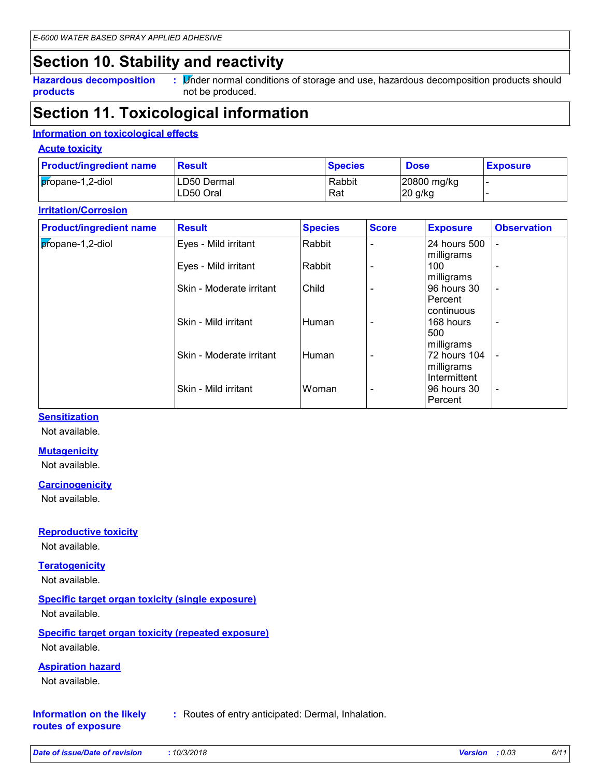## **Section 10. Stability and reactivity**

**Hazardous decomposition products**

**:** Minder normal conditions of storage and use, hazardous decomposition products should not be produced.

## **Section 11. Toxicological information**

### **Information on toxicological effects**

### **Acute toxicity**

| <b>Product/ingredient name</b> | <b>Result</b>            | <b>Species</b> | <b>Dose</b>              | <b>Exposure</b> |
|--------------------------------|--------------------------|----------------|--------------------------|-----------------|
| propane-1,2-diol               | LD50 Dermal<br>LD50 Oral | Rabbit<br>Rat  | 20800 mg/kg<br>$20$ g/kg |                 |

### **Irritation/Corrosion**

| <b>Product/ingredient name</b> | <b>Result</b>            | <b>Species</b> | <b>Score</b> | <b>Exposure</b>                                      | <b>Observation</b>       |
|--------------------------------|--------------------------|----------------|--------------|------------------------------------------------------|--------------------------|
| propane-1,2-diol               | Eyes - Mild irritant     | Rabbit         |              | 24 hours 500<br>milligrams                           |                          |
|                                | Eyes - Mild irritant     | Rabbit         |              | 100<br>milligrams                                    | $\overline{\phantom{0}}$ |
|                                | Skin - Moderate irritant | Child          |              | 96 hours 30<br>Percent                               | $\blacksquare$           |
|                                | Skin - Mild irritant     | Human          |              | continuous<br>168 hours                              | $\overline{\phantom{a}}$ |
|                                | Skin - Moderate irritant | Human          |              | 500<br>milligrams<br>72 hours 104                    |                          |
|                                | Skin - Mild irritant     | Woman          |              | milligrams<br>Intermittent<br>96 hours 30<br>Percent | $\overline{\phantom{a}}$ |

### **Sensitization**

Not available.

#### **Mutagenicity**

Not available.

### **Carcinogenicity**

Not available.

### **Reproductive toxicity**

Not available.

### **Teratogenicity**

Not available.

### **Specific target organ toxicity (single exposure)**

Not available.

### **Specific target organ toxicity (repeated exposure)** Not available.

### **Aspiration hazard**

Not available.

#### **Information on the likely routes of exposure :** Routes of entry anticipated: Dermal, Inhalation.

| Date of issue/Date of revision | :10/3/2 |
|--------------------------------|---------|
|                                |         |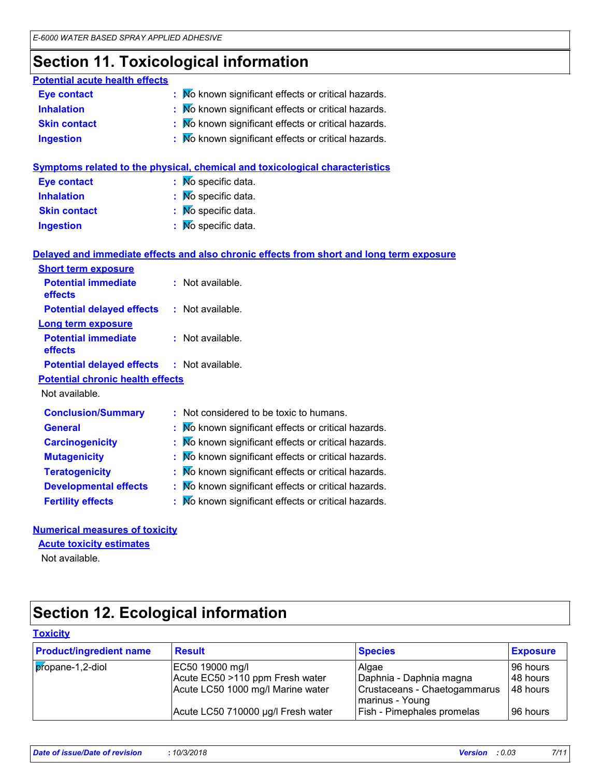# **Section 11. Toxicological information**

| <b>Potential acute health effects</b> |                                                     |
|---------------------------------------|-----------------------------------------------------|
| <b>Eye contact</b>                    | : Mo known significant effects or critical hazards. |
| <b>Inhalation</b>                     | : Mo known significant effects or critical hazards. |
| <b>Skin contact</b>                   | : Mo known significant effects or critical hazards. |
| <b>Ingestion</b>                      | : Mo known significant effects or critical hazards. |

|                     | Symptoms related to the physical, chemical and toxicological characteristics |
|---------------------|------------------------------------------------------------------------------|
| <b>Eye contact</b>  | $\mathbf{N}$ Mo specific data.                                               |
| <b>Inhalation</b>   | : Mo specific data.                                                          |
| <b>Skin contact</b> | $\mathbf{N}$ Mo specific data.                                               |
| <b>Ingestion</b>    | $\mathbf{N}$ Mo specific data.                                               |
|                     |                                                                              |

### **Delayed and immediate effects and also chronic effects from short and long term exposure**

| <b>Short term exposure</b>                        |                                                     |
|---------------------------------------------------|-----------------------------------------------------|
| <b>Potential immediate</b><br><b>effects</b>      | $:$ Not available.                                  |
| <b>Potential delayed effects</b>                  | $:$ Not available.                                  |
| Long term exposure                                |                                                     |
| <b>Potential immediate</b><br><b>effects</b>      | $:$ Not available.                                  |
| <b>Potential delayed effects : Not available.</b> |                                                     |
| <b>Potential chronic health effects</b>           |                                                     |
| Not available.                                    |                                                     |
| <b>Conclusion/Summary</b>                         | : Not considered to be toxic to humans.             |
| <b>General</b>                                    | : Mo known significant effects or critical hazards. |
| <b>Carcinogenicity</b>                            | : Mo known significant effects or critical hazards. |
| <b>Mutagenicity</b>                               | : Mo known significant effects or critical hazards. |
| <b>Teratogenicity</b>                             | : Mo known significant effects or critical hazards. |
| <b>Developmental effects</b>                      | : Mo known significant effects or critical hazards. |
| <b>Fertility effects</b>                          | : Mo known significant effects or critical hazards. |

### **Numerical measures of toxicity**

### **Acute toxicity estimates**

Not available.

# **Section 12. Ecological information**

### **Toxicity**

| <b>Product/ingredient name</b> | <b>Result</b>                      | <b>Species</b>                                  | <b>Exposure</b> |
|--------------------------------|------------------------------------|-------------------------------------------------|-----------------|
| propane-1,2-diol               | EC50 19000 mg/l                    | Algae                                           | 96 hours        |
|                                | Acute EC50 >110 ppm Fresh water    | Daphnia - Daphnia magna                         | 48 hours        |
|                                | Acute LC50 1000 mg/l Marine water  | Crustaceans - Chaetogammarus<br>marinus - Young | 148 hours       |
|                                | Acute LC50 710000 µg/l Fresh water | Fish - Pimephales promelas                      | 96 hours        |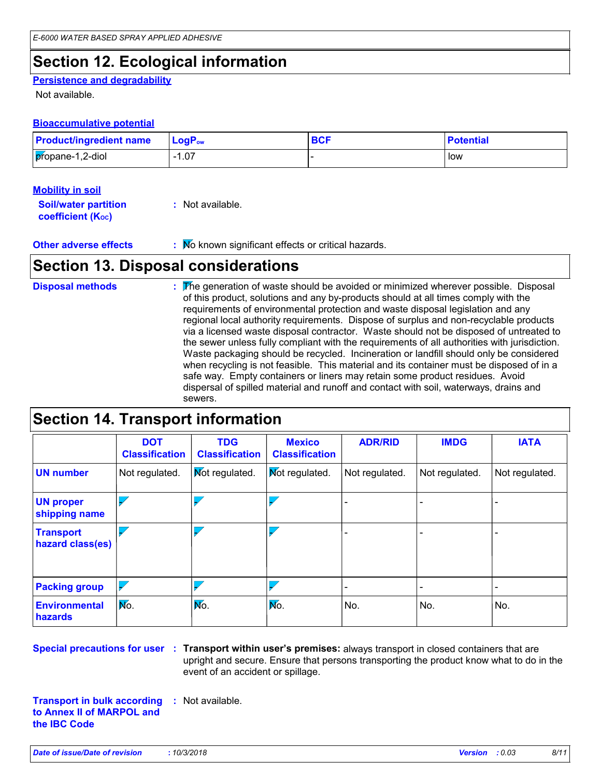# **Section 12. Ecological information**

### **Persistence and degradability**

Not available.

### **Bioaccumulative potential**

| <b>Product/ingredient name</b> | $ $ LogP <sub>ow</sub> | <b>BCF</b> | <b>Potential</b> |
|--------------------------------|------------------------|------------|------------------|
| propane-1,2-diol               | $-1.07$                |            | low              |

### **Mobility in soil**

| <b>Soil/water partition</b> | : Not available. |
|-----------------------------|------------------|
| <b>coefficient (Koc)</b>    |                  |

**Other adverse effects** : No known significant effects or critical hazards.

## **Section 13. Disposal considerations**

The generation of waste should be avoided or minimized wherever possible. Disposal of this product, solutions and any by-products should at all times comply with the requirements of environmental protection and waste disposal legislation and any regional local authority requirements. Dispose of surplus and non-recyclable products via a licensed waste disposal contractor. Waste should not be disposed of untreated to the sewer unless fully compliant with the requirements of all authorities with jurisdiction. Waste packaging should be recycled. Incineration or landfill should only be considered when recycling is not feasible. This material and its container must be disposed of in a safe way. Empty containers or liners may retain some product residues. Avoid dispersal of spilled material and runoff and contact with soil, waterways, drains and sewers. **Disposal methods :**

## **Section 14. Transport information**

|                                        | <b>DOT</b><br><b>Classification</b> | <b>TDG</b><br><b>Classification</b> | <b>Mexico</b><br><b>Classification</b> | <b>ADR/RID</b>           | <b>IMDG</b>              | <b>IATA</b>    |
|----------------------------------------|-------------------------------------|-------------------------------------|----------------------------------------|--------------------------|--------------------------|----------------|
| <b>UN number</b>                       | Not regulated.                      | <b>Not regulated.</b>               | <b>Not regulated.</b>                  | Not regulated.           | Not regulated.           | Not regulated. |
| <b>UN proper</b><br>shipping name      |                                     |                                     |                                        |                          |                          |                |
| <b>Transport</b><br>hazard class(es)   |                                     |                                     |                                        |                          |                          | -              |
| <b>Packing group</b>                   |                                     |                                     |                                        | $\overline{\phantom{0}}$ | $\overline{\phantom{0}}$ | -              |
| <b>Environmental</b><br><b>hazards</b> | Mo.                                 | No.                                 | No.                                    | No.                      | No.                      | No.            |

**Special precautions for user Transport within user's premises:** always transport in closed containers that are **:** upright and secure. Ensure that persons transporting the product know what to do in the event of an accident or spillage.

**Transport in bulk according :** Not available. **to Annex II of MARPOL and the IBC Code**

*Date of issue/Date of revision* **:** *10/3/2018 Version : 0.03 8/11*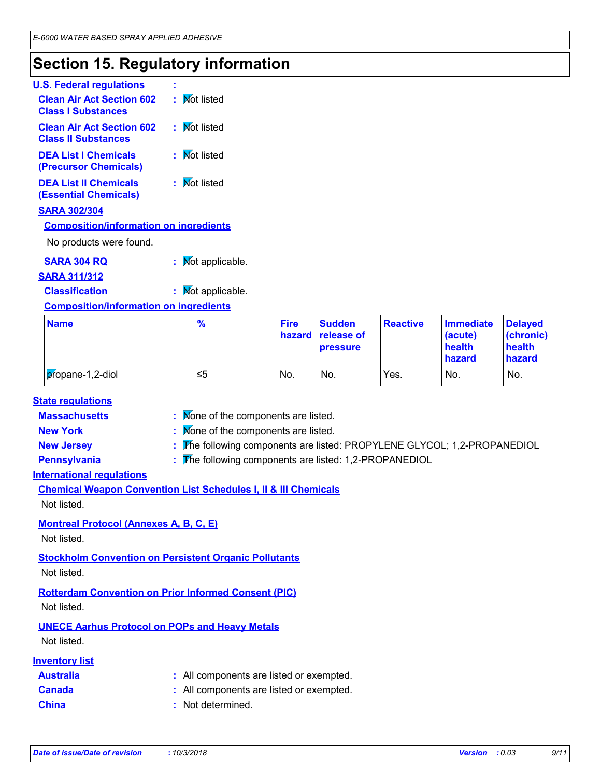## **Section 15. Regulatory information**

| <b>U.S. Federal regulations</b>                                |              |
|----------------------------------------------------------------|--------------|
| <b>Clean Air Act Section 602</b><br><b>Class I Substances</b>  | : Mot listed |
| <b>Clean Air Act Section 602</b><br><b>Class II Substances</b> | : Mot listed |
| <b>DEA List I Chemicals</b><br>(Precursor Chemicals)           | : Mot listed |
| <b>DEA List II Chemicals</b><br><b>(Essential Chemicals)</b>   | : Mot listed |
| <b>SARA 302/304</b>                                            |              |
| <b>Composition/information on ingredients</b>                  |              |
| No products were found.                                        |              |
|                                                                |              |

### **SARA 304 RQ :** Not applicable.

### **SARA 311/312**

**Classification :** Not applicable.

### **Composition/information on ingredients**

| <b>Name</b>      | $\frac{9}{6}$ | <b>Fire</b> | <b>Sudden</b><br>hazard release of<br><b>pressure</b> | <b>Reactive</b> | <b>Immediate</b><br>(acute)<br>health<br>hazard | <b>Delaved</b><br>(chronic)<br>health<br>hazard |
|------------------|---------------|-------------|-------------------------------------------------------|-----------------|-------------------------------------------------|-------------------------------------------------|
| propane-1,2-diol | 1≤5           | No.         | No.                                                   | Yes.            | No.                                             | No.                                             |

### **State regulations**

**Massachusetts** : Mone of the components are listed.

**New York :** None of the components are listed.

**New Jersey :** The following components are listed: PROPYLENE GLYCOL; 1,2-PROPANEDIOL

**Pennsylvania :** The following components are listed: 1,2-PROPANEDIOL

### **International regulations**

**Chemical Weapon Convention List Schedules I, II & III Chemicals**

Not listed.

### **Montreal Protocol (Annexes A, B, C, E)**

Not listed.

### **Stockholm Convention on Persistent Organic Pollutants**

Not listed.

### **Rotterdam Convention on Prior Informed Consent (PIC)** Not listed.

### **UNECE Aarhus Protocol on POPs and Heavy Metals**

Not listed.

### **Inventory list**

| <b>Australia</b> | : All components are listed or exempted. |
|------------------|------------------------------------------|
| <b>Canada</b>    | : All components are listed or exempted. |
| <b>China</b>     | : Not determined.                        |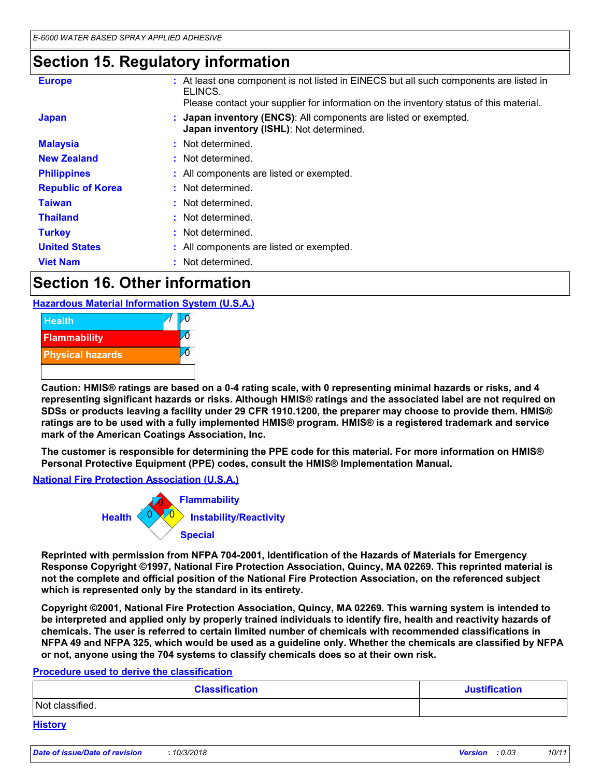## **Section 15. Regulatory information**

| <b>Europe</b>            | : At least one component is not listed in EINECS but all such components are listed in<br>ELINCS.<br>Please contact your supplier for information on the inventory status of this material. |
|--------------------------|---------------------------------------------------------------------------------------------------------------------------------------------------------------------------------------------|
| <b>Japan</b>             | Japan inventory (ENCS): All components are listed or exempted.<br>Japan inventory (ISHL): Not determined.                                                                                   |
| <b>Malaysia</b>          | : Not determined.                                                                                                                                                                           |
| <b>New Zealand</b>       | : Not determined.                                                                                                                                                                           |
| <b>Philippines</b>       | : All components are listed or exempted.                                                                                                                                                    |
| <b>Republic of Korea</b> | : Not determined.                                                                                                                                                                           |
| <b>Taiwan</b>            | : Not determined.                                                                                                                                                                           |
| <b>Thailand</b>          | : Not determined.                                                                                                                                                                           |
| <b>Turkey</b>            | : Not determined.                                                                                                                                                                           |
| <b>United States</b>     | : All components are listed or exempted.                                                                                                                                                    |
| <b>Viet Nam</b>          | Not determined.                                                                                                                                                                             |

## **Section 16. Other information**

**Hazardous Material Information System (U.S.A.)**



**Caution: HMIS® ratings are based on a 0-4 rating scale, with 0 representing minimal hazards or risks, and 4 representing significant hazards or risks. Although HMIS® ratings and the associated label are not required on SDSs or products leaving a facility under 29 CFR 1910.1200, the preparer may choose to provide them. HMIS® ratings are to be used with a fully implemented HMIS® program. HMIS® is a registered trademark and service mark of the American Coatings Association, Inc.**

**The customer is responsible for determining the PPE code for this material. For more information on HMIS® Personal Protective Equipment (PPE) codes, consult the HMIS® Implementation Manual.**

### **National Fire Protection Association (U.S.A.)**



**Reprinted with permission from NFPA 704-2001, Identification of the Hazards of Materials for Emergency Response Copyright ©1997, National Fire Protection Association, Quincy, MA 02269. This reprinted material is not the complete and official position of the National Fire Protection Association, on the referenced subject which is represented only by the standard in its entirety.**

**Copyright ©2001, National Fire Protection Association, Quincy, MA 02269. This warning system is intended to be interpreted and applied only by properly trained individuals to identify fire, health and reactivity hazards of chemicals. The user is referred to certain limited number of chemicals with recommended classifications in NFPA 49 and NFPA 325, which would be used as a guideline only. Whether the chemicals are classified by NFPA or not, anyone using the 704 systems to classify chemicals does so at their own risk.**

### **Procedure used to derive the classification**

| <b>Classification</b> | <b>Justification</b> |
|-----------------------|----------------------|
| Not classified.       |                      |
| <b>History</b>        |                      |